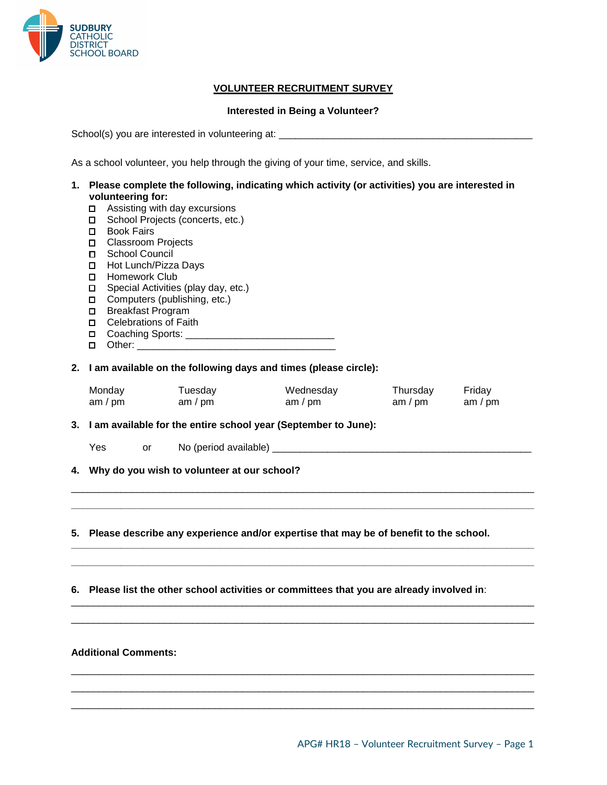

## **VOLUNTEER RECRUITMENT SURVEY**

## **Interested in Being a Volunteer?**

School(s) you are interested in volunteering at: \_\_\_\_\_\_\_\_\_\_\_\_\_\_\_\_\_\_\_\_\_\_\_\_\_\_\_\_\_\_\_

As a school volunteer, you help through the giving of your time, service, and skills.

- **1. Please complete the following, indicating which activity (or activities) you are interested in volunteering for:**
	- □ Assisting with day excursions
	- □ School Projects (concerts, etc.)
	- □ Book Fairs
	- □ Classroom Projects
	- □ School Council
	- □ Hot Lunch/Pizza Days
	- □ Homework Club
	- □ Special Activities (play day, etc.)
	- □ Computers (publishing, etc.)
	- □ Breakfast Program
	- □ Celebrations of Faith
	- □ Coaching Sports:
	- □ Other: \_\_\_\_\_\_\_\_\_
- **2. I am available on the following days and times (please circle):**

| Monday  | ™uesdav   | Wednesday | Thursdav  | Friday    |
|---------|-----------|-----------|-----------|-----------|
| am / pm | am $/$ pm | am $/$ pm | am $/$ pm | am / $pm$ |

\_\_\_\_\_\_\_\_\_\_\_\_\_\_\_\_\_\_\_\_\_\_\_\_\_\_\_\_\_\_\_\_\_\_\_\_\_\_\_\_\_\_\_\_\_\_\_\_\_\_\_\_\_\_\_\_\_\_\_\_\_\_\_\_\_\_\_\_\_\_\_\_\_\_\_\_\_\_\_\_\_\_\_\_ **\_\_\_\_\_\_\_\_\_\_\_\_\_\_\_\_\_\_\_\_\_\_\_\_\_\_\_\_\_\_\_\_\_\_\_\_\_\_\_\_\_\_\_\_\_\_\_\_\_\_\_\_\_\_\_\_\_\_\_\_\_\_\_\_\_\_\_\_\_\_\_\_\_\_\_\_\_\_\_\_\_\_\_\_**

**\_\_\_\_\_\_\_\_\_\_\_\_\_\_\_\_\_\_\_\_\_\_\_\_\_\_\_\_\_\_\_\_\_\_\_\_\_\_\_\_\_\_\_\_\_\_\_\_\_\_\_\_\_\_\_\_\_\_\_\_\_\_\_\_\_\_\_\_\_\_\_\_\_\_\_\_\_\_\_\_\_\_\_\_ \_\_\_\_\_\_\_\_\_\_\_\_\_\_\_\_\_\_\_\_\_\_\_\_\_\_\_\_\_\_\_\_\_\_\_\_\_\_\_\_\_\_\_\_\_\_\_\_\_\_\_\_\_\_\_\_\_\_\_\_\_\_\_\_\_\_\_\_\_\_\_\_\_\_\_\_\_\_\_\_\_\_\_\_**

\_\_\_\_\_\_\_\_\_\_\_\_\_\_\_\_\_\_\_\_\_\_\_\_\_\_\_\_\_\_\_\_\_\_\_\_\_\_\_\_\_\_\_\_\_\_\_\_\_\_\_\_\_\_\_\_\_\_\_\_\_\_\_\_\_\_\_\_\_\_\_\_\_\_\_\_\_\_\_\_\_\_\_\_ \_\_\_\_\_\_\_\_\_\_\_\_\_\_\_\_\_\_\_\_\_\_\_\_\_\_\_\_\_\_\_\_\_\_\_\_\_\_\_\_\_\_\_\_\_\_\_\_\_\_\_\_\_\_\_\_\_\_\_\_\_\_\_\_\_\_\_\_\_\_\_\_\_\_\_\_\_\_\_\_\_\_\_\_

\_\_\_\_\_\_\_\_\_\_\_\_\_\_\_\_\_\_\_\_\_\_\_\_\_\_\_\_\_\_\_\_\_\_\_\_\_\_\_\_\_\_\_\_\_\_\_\_\_\_\_\_\_\_\_\_\_\_\_\_\_\_\_\_\_\_\_\_\_\_\_\_\_\_\_\_\_\_\_\_\_\_\_\_ \_\_\_\_\_\_\_\_\_\_\_\_\_\_\_\_\_\_\_\_\_\_\_\_\_\_\_\_\_\_\_\_\_\_\_\_\_\_\_\_\_\_\_\_\_\_\_\_\_\_\_\_\_\_\_\_\_\_\_\_\_\_\_\_\_\_\_\_\_\_\_\_\_\_\_\_\_\_\_\_\_\_\_\_ \_\_\_\_\_\_\_\_\_\_\_\_\_\_\_\_\_\_\_\_\_\_\_\_\_\_\_\_\_\_\_\_\_\_\_\_\_\_\_\_\_\_\_\_\_\_\_\_\_\_\_\_\_\_\_\_\_\_\_\_\_\_\_\_\_\_\_\_\_\_\_\_\_\_\_\_\_\_\_\_\_\_\_\_

**3. I am available for the entire school year (September to June):**

- Yes or No (period available) **with the set of the set of the set of the set of the set of the set of the set of the set of the set of the set of the set of the set of the set of the set of the set of the set of the set of**
- **4. Why do you wish to volunteer at our school?**

**5. Please describe any experience and/or expertise that may be of benefit to the school.**

**6. Please list the other school activities or committees that you are already involved in**:

## **Additional Comments:**